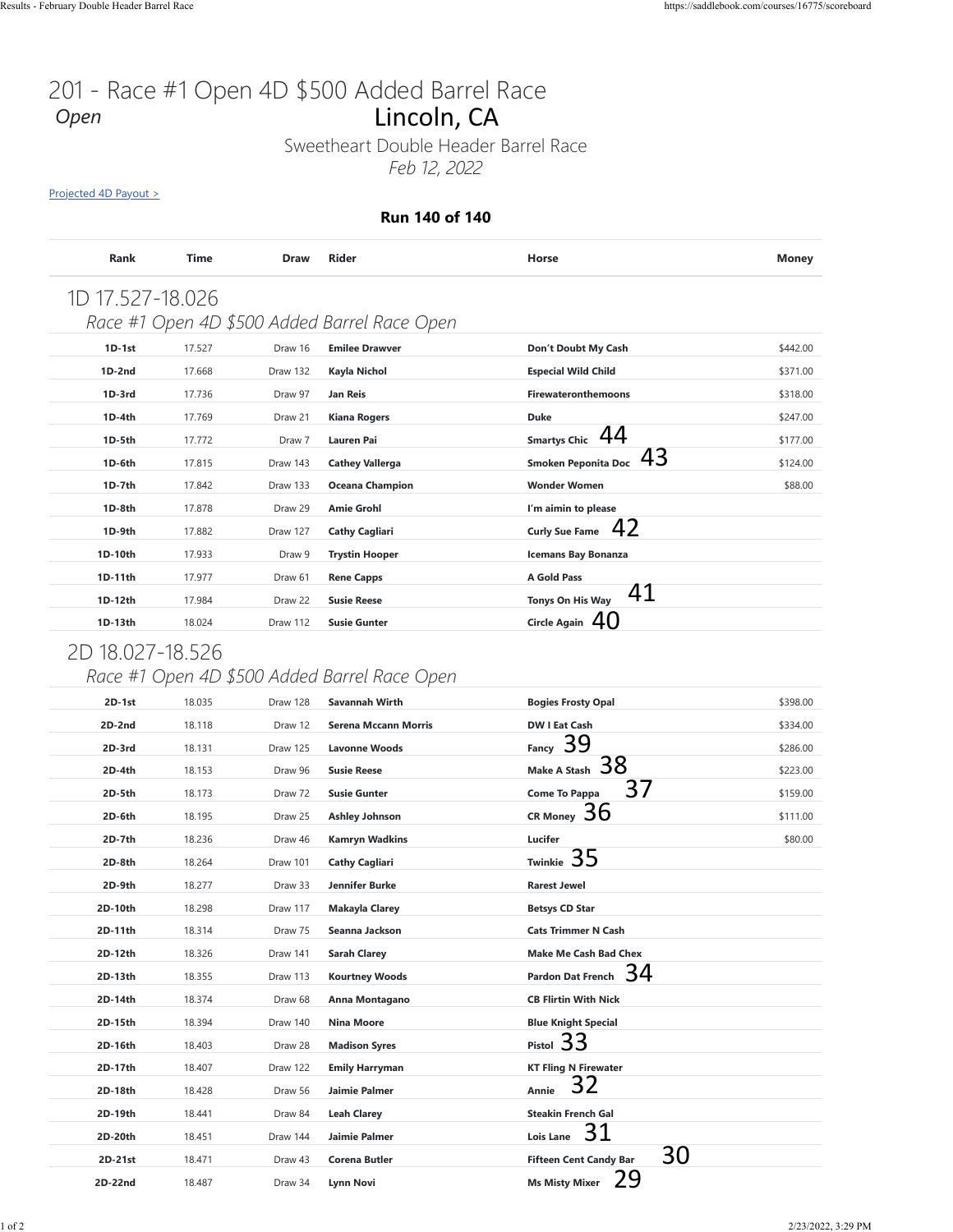# 201 - Race #1 Open 4D \$500 Added Barrel Race<br>Open **Lincoln, CA** *Open*

#### **Run 140 of 140**

| <b>Rank</b>      | <b>Time</b> | <b>Draw</b> | Rider                                        | Horse                         | <b>Money</b> |
|------------------|-------------|-------------|----------------------------------------------|-------------------------------|--------------|
| 1D 17.527-18.026 |             |             |                                              |                               |              |
|                  |             |             | Race #1 Open 4D \$500 Added Barrel Race Open |                               |              |
| $1D-1st$         | 17.527      | Draw 16     | <b>Emilee Drawver</b>                        | Don't Doubt My Cash           | \$442.00     |
| $1D-2nd$         | 17.668      | Draw 132    | Kayla Nichol                                 | <b>Especial Wild Child</b>    | \$371.00     |
| $1D-3rd$         | 17.736      | Draw 97     | <b>Jan Reis</b>                              | <b>Firewateronthemoons</b>    | \$318.00     |
| $1D-4th$         | 17.769      | Draw 21     | <b>Kiana Rogers</b>                          | <b>Duke</b>                   | \$247.00     |
| 1D-5th           | 17.772      | Draw 7      | <b>Lauren Pai</b>                            | Smartys Chic 44               | \$177.00     |
| 1D-6th           | 17.815      | Draw 143    | <b>Cathey Vallerga</b>                       | Smoken Peponita Doc $43$      | \$124.00     |
| 1D-7th           | 17.842      | Draw 133    | <b>Oceana Champion</b>                       | <b>Wonder Women</b>           | \$88.00      |
| 1D-8th           | 17.878      | Draw 29     | <b>Amie Grohl</b>                            | I'm aimin to please           |              |
| 1D-9th           | 17.882      | Draw 127    | <b>Cathy Cagliari</b>                        | 42<br><b>Curly Sue Fame</b>   |              |
| 1D-10th          | 17.933      | Draw 9      | <b>Trystin Hooper</b>                        | <b>Icemans Bay Bonanza</b>    |              |
| 1D-11th          | 17.977      | Draw 61     | <b>Rene Capps</b>                            | A Gold Pass                   |              |
| 1D-12th          | 17.984      | Draw 22     | <b>Susie Reese</b>                           | 41<br><b>Tonys On His Way</b> |              |
| 1D-13th          | 18.024      | Draw 112    | <b>Susie Gunter</b>                          | Circle Again $40$             |              |

## 2D 18.027-18.526

### *Race #1 Open 4D \$500 Added Barrel Race Open*

|                                 |                  |             | Feb 12, 2022                                 |                                          |              |
|---------------------------------|------------------|-------------|----------------------------------------------|------------------------------------------|--------------|
| <u>Projected 4D Payout &gt;</u> |                  |             | <b>Run 140 of 140</b>                        |                                          |              |
| Rank                            | <b>Time</b>      | <b>Draw</b> | <b>Rider</b>                                 | Horse                                    | <b>Money</b> |
|                                 |                  |             |                                              |                                          |              |
| 1D 17.527-18.026                |                  |             |                                              |                                          |              |
|                                 |                  |             | Race #1 Open 4D \$500 Added Barrel Race Open |                                          |              |
| 1D-1st                          | 17.527           | Draw 16     | <b>Emilee Drawver</b>                        | Don't Doubt My Cash                      | \$442.00     |
| 1D-2nd                          | 17.668           | Draw 132    | Kayla Nichol                                 | <b>Especial Wild Child</b>               | \$371.00     |
| 1D-3rd                          | 17.736           | Draw 97     | Jan Reis                                     | <b>Firewateronthemoons</b>               | \$318.00     |
| 1D-4th                          | 17.769           | Draw 21     | <b>Kiana Rogers</b>                          | <b>Duke</b>                              | \$247.00     |
| 1D-5th                          | 17.772           | Draw 7      | <b>Lauren Pai</b>                            | 44<br><b>Smartys Chic</b>                | \$177.00     |
| 1D-6th                          | 17.815           | Draw 143    | <b>Cathey Vallerga</b>                       | 43<br><b>Smoken Peponita Doc</b>         | \$124.00     |
| 1D-7th                          | 17.842           | Draw 133    | <b>Oceana Champion</b>                       | <b>Wonder Women</b>                      | \$88.00      |
| 1D-8th                          | 17.878           | Draw 29     | <b>Amie Grohl</b>                            | I'm aimin to please                      |              |
| 1D-9th                          | 17.882           | Draw 127    | <b>Cathy Cagliari</b>                        | 42<br><b>Curly Sue Fame</b>              |              |
| 1D-10th                         | 17.933           | Draw 9      | <b>Trystin Hooper</b>                        | <b>Icemans Bay Bonanza</b>               |              |
| 1D-11th                         | 17.977           | Draw 61     | <b>Rene Capps</b>                            | A Gold Pass                              |              |
| 1D-12th                         | 17.984           | Draw 22     | <b>Susie Reese</b>                           | 41<br>Tonys On His Way                   |              |
| 1D-13th                         | 18.024           | Draw 112    | <b>Susie Gunter</b>                          | Circle Again $40$                        |              |
| 2D 18.027-18.526                |                  |             |                                              |                                          |              |
|                                 |                  |             | Race #1 Open 4D \$500 Added Barrel Race Open |                                          |              |
| 2D-1st                          | 18.035           | Draw 128    | Savannah Wirth                               | <b>Bogies Frosty Opal</b>                | \$398.00     |
| $2D-2nd$                        | 18.118           | Draw 12     | <b>Serena Mccann Morris</b>                  | <b>DW I Eat Cash</b>                     | \$334.00     |
| 2D-3rd                          | 18.131           | Draw 125    | <b>Lavonne Woods</b>                         | 39<br>Fancy                              | \$286.00     |
| $2D-4th$                        | 18.153           | Draw 96     | <b>Susie Reese</b>                           | 38<br><b>Make A Stash</b>                | \$223.00     |
| 2D-5th                          | 18.173           | Draw 72     | <b>Susie Gunter</b>                          | 37<br><b>Come To Pappa</b>               | \$159.00     |
| 2D-6th                          | 18.195           | Draw 25     | <b>Ashley Johnson</b>                        | CR Money 30                              | \$111.00     |
| 2D-7th                          | 18.236           | Draw 46     | <b>Kamryn Wadkins</b>                        | Lucifer                                  | \$80.00      |
| 2D-8th                          | 18.264           | Draw 101    | <b>Cathy Cagliari</b>                        | Twinkie 35                               |              |
| 2D-9th                          | 18.277           | Draw 33     | Jennifer Burke                               | <b>Rarest Jewel</b>                      |              |
|                                 | 18.298           | Draw 117    | <b>Makayla Clarey</b>                        | <b>Betsys CD Star</b>                    |              |
| 2D-10th                         | 18.314           | Draw 75     | Seanna Jackson                               | <b>Cats Trimmer N Cash</b>               |              |
| 2D-11th                         |                  |             |                                              |                                          |              |
| 2D-12th                         | 18.326           | Draw 141    | <b>Sarah Clarey</b>                          | <b>Make Me Cash Bad Chex</b>             |              |
| 2D-13th                         | 18.355           | Draw 113    | <b>Kourtney Woods</b>                        | 34<br><b>Pardon Dat French</b>           |              |
| 2D-14th                         | 18.374           | Draw 68     | Anna Montagano                               | <b>CB Flirtin With Nick</b>              |              |
| 2D-15th                         | 18.394           | Draw 140    | Nina Moore                                   | <b>Blue Knight Special</b>               |              |
| 2D-16th                         | 18.403           | Draw 28     | <b>Madison Syres</b>                         |                                          |              |
| 2D-17th                         | 18.407           | Draw 122    | <b>Emily Harryman</b>                        | Pistol 33<br><b>KT Fling N Firewater</b> |              |
| 2D-18th                         | 18.428           | Draw 56     | Jaimie Palmer                                | 32<br>Annie                              |              |
| 2D-19th                         | 18.441           | Draw 84     | <b>Leah Clarey</b>                           | <b>Steakin French Gal</b>                |              |
| 2D-20th                         |                  | Draw 144    | Jaimie Palmer                                | 31<br><b>Lois Lane</b>                   |              |
| 2D-21st                         | 18.451<br>18.471 | Draw 43     | Corena Butler                                | 30<br><b>Fifteen Cent Candy Bar</b>      |              |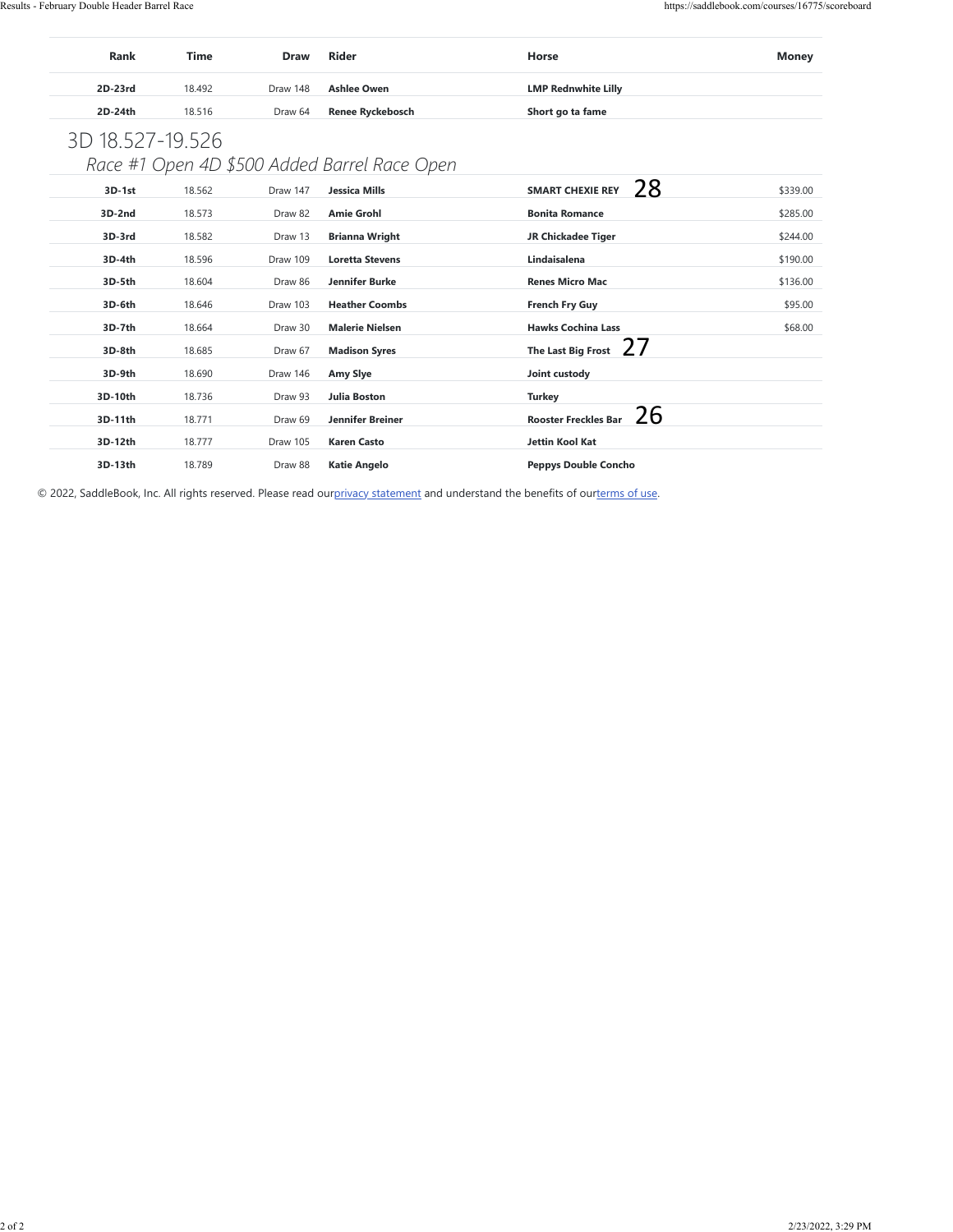| <b>Rank</b> | Time   | <b>Draw</b> | <b>Rider</b>       | Horse                      | Money |
|-------------|--------|-------------|--------------------|----------------------------|-------|
| 2D-23rd     | 18.492 | Draw 148    | <b>Ashlee Owen</b> | <b>LMP Rednwhite Lilly</b> |       |
| 2D-24th     | 18.516 | Draw 64     | Renee Ryckebosch   | Short go ta fame           |       |

# 3D 18.527-19.526

*Race #1 Open 4D \$500 Added Barrel Race Open*

| $3D-1st$ | 18.562 | Draw 147 | <b>Jessica Mills</b>    | <b>SMART CHEXIE REY</b>                  | \$339.00 |
|----------|--------|----------|-------------------------|------------------------------------------|----------|
| $3D-2nd$ | 18.573 | Draw 82  | <b>Amie Grohl</b>       | 28<br><b>Bonita Romance</b>              | \$285.00 |
| 3D-3rd   | 18.582 | Draw 13  | <b>Brianna Wright</b>   | JR Chickadee Tiger                       | \$244.00 |
| 3D-4th   | 18.596 | Draw 109 | <b>Loretta Stevens</b>  | Lindaisalena                             | \$190.00 |
| $3D-5th$ | 18.604 | Draw 86  | Jennifer Burke          | <b>Renes Micro Mac</b>                   | \$136.00 |
| 3D-6th   | 18.646 | Draw 103 | <b>Heather Coombs</b>   | <b>French Fry Guy</b>                    | \$95.00  |
| 3D-7th   | 18.664 | Draw 30  | <b>Malerie Nielsen</b>  | <b>Hawks Cochina Lass</b>                | \$68.00  |
| 3D-8th   | 18.685 | Draw 67  | <b>Madison Syres</b>    | <u>27</u><br>The Last Big Frost          |          |
| 3D-9th   | 18.690 | Draw 146 | Amy Slye                | Joint custody                            |          |
| 3D-10th  | 18.736 | Draw 93  | <b>Julia Boston</b>     | <b>Turkey</b>                            |          |
| 3D-11th  | 18.771 | Draw 69  | <b>Jennifer Breiner</b> | <u>26</u><br><b>Rooster Freckles Bar</b> |          |
| 3D-12th  | 18.777 | Draw 105 | <b>Karen Casto</b>      | Jettin Kool Kat                          |          |
| 3D-13th  | 18.789 | Draw 88  | <b>Katie Angelo</b>     | <b>Peppys Double Concho</b>              |          |
|          |        |          |                         |                                          |          |
|          |        |          |                         |                                          |          |
|          |        |          |                         |                                          |          |
|          |        |          |                         |                                          |          |
|          |        |          |                         |                                          |          |
|          |        |          |                         |                                          |          |
|          |        |          |                         |                                          |          |
|          |        |          |                         |                                          |          |
|          |        |          |                         |                                          |          |
|          |        |          |                         |                                          |          |
|          |        |          |                         |                                          |          |
|          |        |          |                         |                                          |          |
|          |        |          |                         |                                          |          |
|          |        |          |                         |                                          |          |
|          |        |          |                         |                                          |          |
|          |        |          |                         |                                          |          |
|          |        |          |                         |                                          |          |
|          |        |          |                         |                                          |          |
|          |        |          |                         |                                          |          |
|          |        |          |                         |                                          |          |
|          |        |          |                         |                                          |          |
|          |        |          |                         |                                          |          |
|          |        |          |                         |                                          |          |
|          |        |          |                         |                                          |          |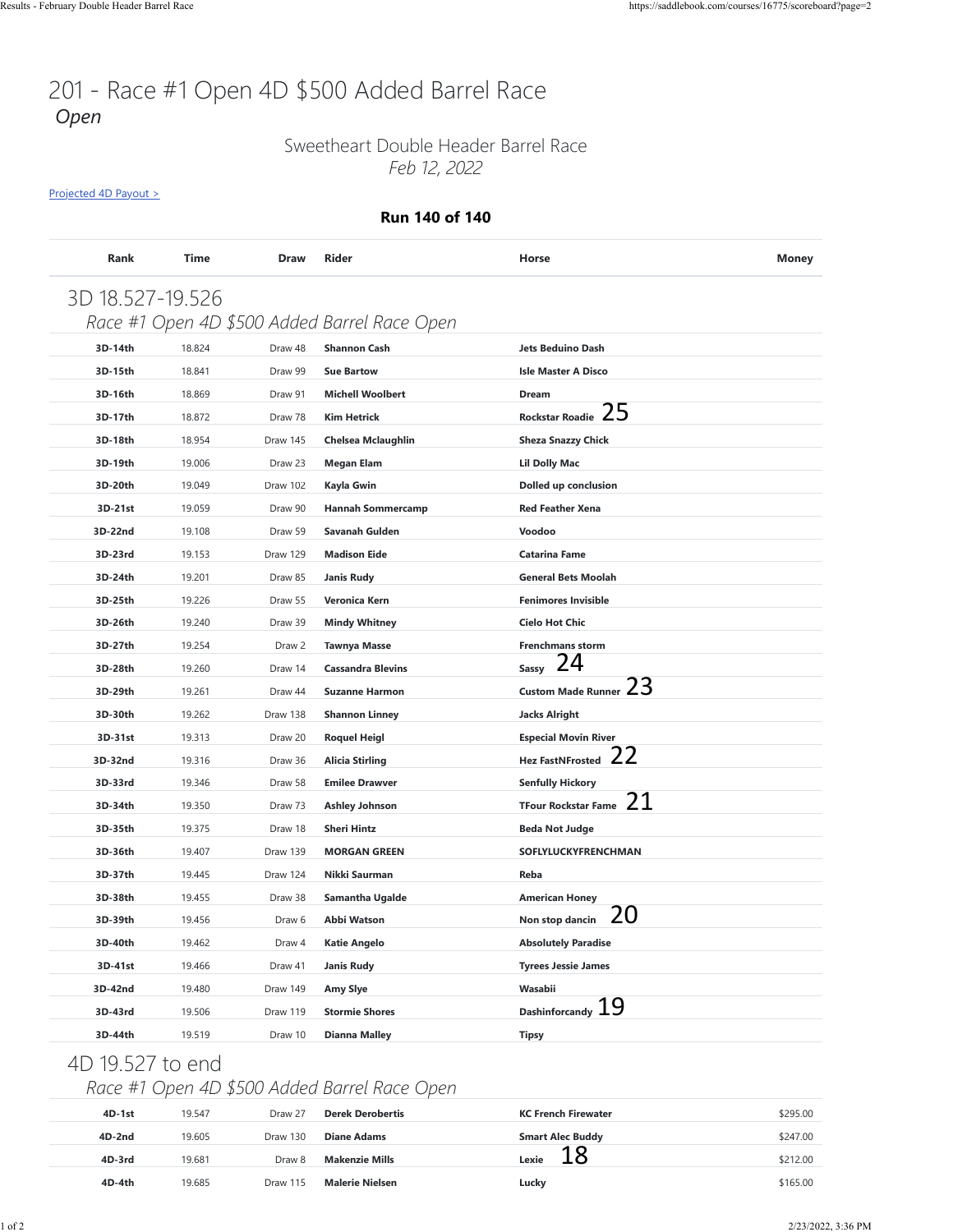## 201 - Race #1 Open 4D \$500 Added Barrel Race *Open*

### Sweetheart Double Header Barrel Race *Feb 12, 2022*

[Projected 4D Payout >](https://saddlebook.com/courses/16775/scoreboard?page=2#payout-projection-16775)

#### **Run 140 of 140**

| 3D 18.527-19.526 |        |          |                                              |                                  |          |
|------------------|--------|----------|----------------------------------------------|----------------------------------|----------|
|                  |        |          | Race #1 Open 4D \$500 Added Barrel Race Open |                                  |          |
| 3D-14th          | 18.824 | Draw 48  | <b>Shannon Cash</b>                          | <b>Jets Beduino Dash</b>         |          |
| 3D-15th          | 18.841 | Draw 99  | <b>Sue Bartow</b>                            | <b>Isle Master A Disco</b>       |          |
| 3D-16th          | 18.869 | Draw 91  | <b>Michell Woolbert</b>                      | Dream                            |          |
| 3D-17th          | 18.872 | Draw 78  | <b>Kim Hetrick</b>                           | 25<br><b>Rockstar Roadie</b>     |          |
| 3D-18th          | 18.954 | Draw 145 | <b>Chelsea Mclaughlin</b>                    | <b>Sheza Snazzy Chick</b>        |          |
| 3D-19th          | 19.006 | Draw 23  | <b>Megan Elam</b>                            | <b>Lil Dolly Mac</b>             |          |
| 3D-20th          | 19.049 | Draw 102 | Kayla Gwin                                   | Dolled up conclusion             |          |
| 3D-21st          | 19.059 | Draw 90  | <b>Hannah Sommercamp</b>                     | <b>Red Feather Xena</b>          |          |
| 3D-22nd          | 19.108 | Draw 59  | Savanah Gulden                               | Voodoo                           |          |
| 3D-23rd          | 19.153 | Draw 129 | <b>Madison Eide</b>                          | <b>Catarina Fame</b>             |          |
| 3D-24th          | 19.201 | Draw 85  | <b>Janis Rudy</b>                            | <b>General Bets Moolah</b>       |          |
| 3D-25th          | 19.226 | Draw 55  | Veronica Kern                                | <b>Fenimores Invisible</b>       |          |
| 3D-26th          | 19.240 | Draw 39  | <b>Mindy Whitney</b>                         | <b>Cielo Hot Chic</b>            |          |
| 3D-27th          | 19.254 | Draw 2   | <b>Tawnya Masse</b>                          | <b>Frenchmans storm</b>          |          |
| 3D-28th          | 19.260 | Draw 14  | <b>Cassandra Blevins</b>                     | 24<br><b>Sassy</b>               |          |
| 3D-29th          | 19.261 | Draw 44  | <b>Suzanne Harmon</b>                        | 23<br><b>Custom Made Runner</b>  |          |
| 3D-30th          | 19.262 | Draw 138 | <b>Shannon Linney</b>                        | <b>Jacks Alright</b>             |          |
| 3D-31st          | 19.313 | Draw 20  | <b>Roquel Heigl</b>                          | <b>Especial Movin River</b>      |          |
| 3D-32nd          | 19.316 | Draw 36  | <b>Alicia Stirling</b>                       | 22<br><b>Hez FastNFrosted</b>    |          |
| 3D-33rd          | 19.346 | Draw 58  | <b>Emilee Drawver</b>                        | <b>Senfully Hickory</b>          |          |
| 3D-34th          | 19.350 | Draw 73  | <b>Ashley Johnson</b>                        | 21<br><b>TFour Rockstar Fame</b> |          |
| 3D-35th          | 19.375 | Draw 18  | <b>Sheri Hintz</b>                           | <b>Beda Not Judge</b>            |          |
| 3D-36th          | 19.407 | Draw 139 | <b>MORGAN GREEN</b>                          | SOFLYLUCKYFRENCHMAN              |          |
| 3D-37th          | 19.445 | Draw 124 | Nikki Saurman                                | Reba                             |          |
| 3D-38th          | 19.455 | Draw 38  | Samantha Ugalde                              | <b>American Honey</b>            |          |
| 3D-39th          | 19.456 | Draw 6   | Abbi Watson                                  | 20<br>Non stop dancin            |          |
| 3D-40th          | 19.462 | Draw 4   | <b>Katie Angelo</b>                          | <b>Absolutely Paradise</b>       |          |
| 3D-41st          | 19.466 | Draw 41  | <b>Janis Rudy</b>                            | <b>Tyrees Jessie James</b>       |          |
| 3D-42nd          | 19.480 | Draw 149 | Amy Slye                                     | Wasabii                          |          |
| 3D-43rd          | 19.506 | Draw 119 | <b>Stormie Shores</b>                        | Dashinforcandy $19$              |          |
| 3D-44th          | 19.519 | Draw 10  | <b>Dianna Malley</b>                         | <b>Tipsy</b>                     |          |
| 4D 19.527 to end |        |          |                                              |                                  |          |
|                  |        |          | Race #1 Open 4D \$500 Added Barrel Race Open |                                  |          |
|                  |        |          |                                              |                                  |          |
| 4D-1st           | 19.547 | Draw 27  | <b>Derek Derobertis</b>                      | <b>KC French Firewater</b>       | \$295.00 |
| 4D-2nd           | 19.605 | Draw 130 | <b>Diane Adams</b>                           | <b>Smart Alec Buddy</b><br>18    | \$247.00 |
| 4D-3rd           | 19.681 | Draw 8   | <b>Makenzie Mills</b>                        | Lexie                            | \$212.00 |
| 4D-4th           | 19.685 | Draw 115 | <b>Malerie Nielsen</b>                       | Lucky                            | \$165.00 |

## 4D 19.527 to end

### *Race #1 Open 4D \$500 Added Barrel Race Open*

| 4D-1st   | 19.547 | Draw 27  | <b>Derek Derobertis</b> | <b>KC French Firewater</b> | \$295.00 |
|----------|--------|----------|-------------------------|----------------------------|----------|
| $4D-2nd$ | 19.605 | Draw 130 | Diane Adams             | <b>Smart Alec Buddy</b>    | \$247.00 |
| 4D-3rd   | 19.681 | Draw 8   | <b>Makenzie Mills</b>   | Lexie                      | \$212.00 |
| 4D-4th   | 19.685 | Draw 115 | <b>Malerie Nielsen</b>  | Lucky                      | \$165.00 |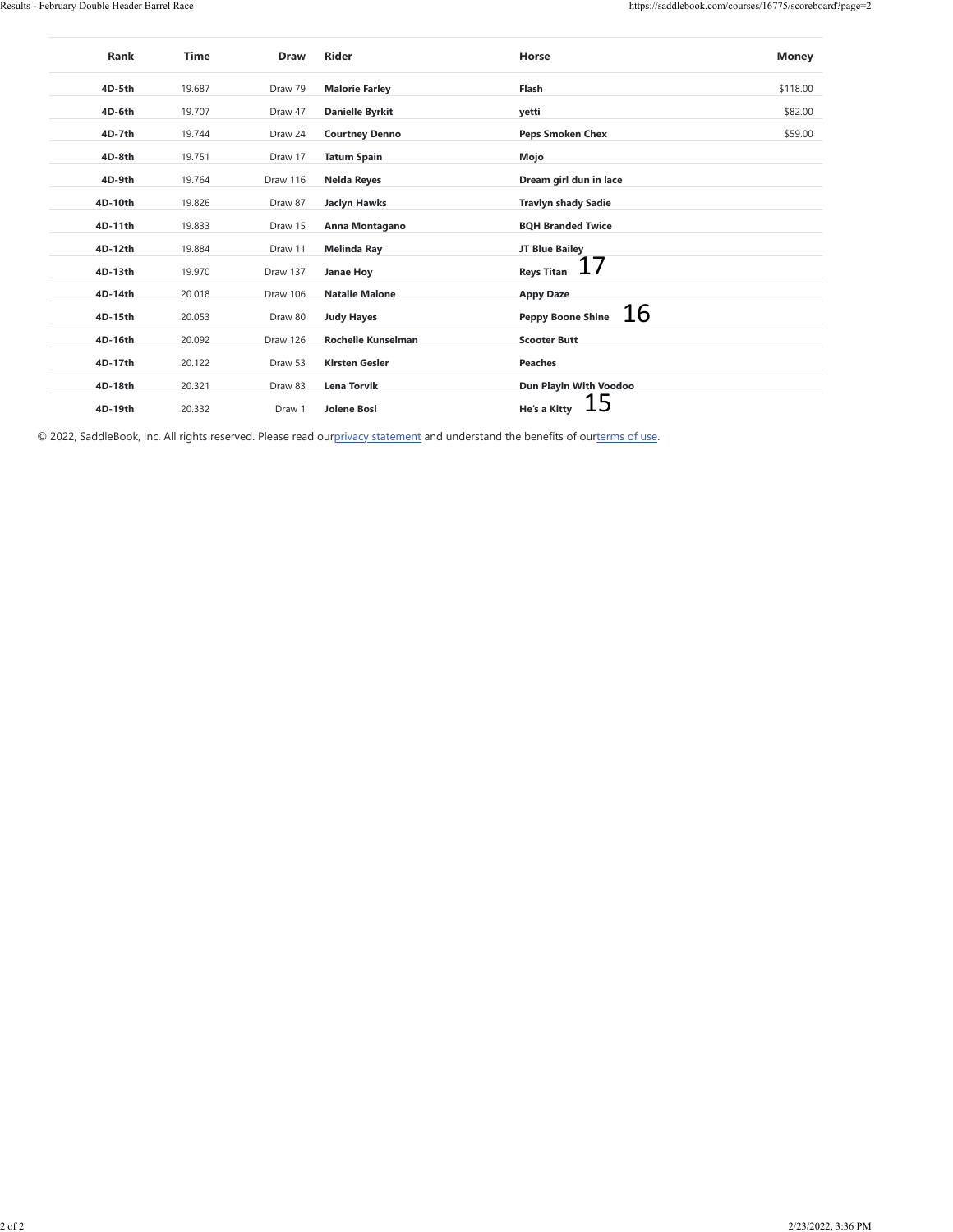| 4D-5th<br>19.687<br>Draw 79<br><b>Malorie Farley</b><br>Flash<br>\$118.00<br>4D-6th<br>19.707<br><b>Danielle Byrkit</b><br>\$82.00<br>Draw 47<br>yetti<br>4D-7th<br>Draw 24<br><b>Peps Smoken Chex</b><br>\$59.00<br>19.744<br><b>Courtney Denno</b><br>4D-8th<br>19.751<br>Draw 17<br><b>Tatum Spain</b><br>Mojo<br>4D-9th<br>19.764<br>Draw 116<br>Dream girl dun in lace<br><b>Nelda Reyes</b><br>4D-10th<br>19.826<br>Draw 87<br><b>Jaclyn Hawks</b><br><b>Travlyn shady Sadie</b><br>4D-11th<br>19.833<br>Draw 15<br><b>BQH Branded Twice</b><br>Anna Montagano<br>JT Blue Bailey<br>4D-12th<br>19.884<br>Draw 11<br><b>Melinda Ray</b><br>17<br><b>Reys Titan</b><br>4D-13th<br>19.970<br>Draw 137<br>Janae Hoy<br>4D-14th<br>20.018<br>Draw 106<br><b>Natalie Malone</b><br><b>Appy Daze</b><br><u> 16</u><br><b>Peppy Boone Shine</b><br>4D-15th<br>20.053<br>Draw 80<br><b>Judy Hayes</b><br>4D-16th<br>Draw 126<br><b>Scooter Butt</b><br>20.092<br>Rochelle Kunselman<br>4D-17th<br>20.122<br>Draw 53<br><b>Kirsten Gesler</b><br>Peaches<br>Dun Playin With Voodoo<br>4D-18th<br>20.321<br>Draw 83<br>Lena Torvik<br><b>15</b><br>He's a Kitty<br>4D-19th<br>20.332<br><b>Jolene Bosl</b><br>Draw 1<br>© 2022, SaddleBook, Inc. All rights reserved. Please read ourprivacy statement and understand the benefits of ourterms of use. | 2/23/2022, 3:36 PM | Rank | <b>Time</b> | Draw | Rider | Horse | <b>Money</b> |
|---------------------------------------------------------------------------------------------------------------------------------------------------------------------------------------------------------------------------------------------------------------------------------------------------------------------------------------------------------------------------------------------------------------------------------------------------------------------------------------------------------------------------------------------------------------------------------------------------------------------------------------------------------------------------------------------------------------------------------------------------------------------------------------------------------------------------------------------------------------------------------------------------------------------------------------------------------------------------------------------------------------------------------------------------------------------------------------------------------------------------------------------------------------------------------------------------------------------------------------------------------------------------------------------------------------------------------------------------|--------------------|------|-------------|------|-------|-------|--------------|
|                                                                                                                                                                                                                                                                                                                                                                                                                                                                                                                                                                                                                                                                                                                                                                                                                                                                                                                                                                                                                                                                                                                                                                                                                                                                                                                                                   |                    |      |             |      |       |       |              |
|                                                                                                                                                                                                                                                                                                                                                                                                                                                                                                                                                                                                                                                                                                                                                                                                                                                                                                                                                                                                                                                                                                                                                                                                                                                                                                                                                   |                    |      |             |      |       |       |              |
|                                                                                                                                                                                                                                                                                                                                                                                                                                                                                                                                                                                                                                                                                                                                                                                                                                                                                                                                                                                                                                                                                                                                                                                                                                                                                                                                                   |                    |      |             |      |       |       |              |
|                                                                                                                                                                                                                                                                                                                                                                                                                                                                                                                                                                                                                                                                                                                                                                                                                                                                                                                                                                                                                                                                                                                                                                                                                                                                                                                                                   |                    |      |             |      |       |       |              |
|                                                                                                                                                                                                                                                                                                                                                                                                                                                                                                                                                                                                                                                                                                                                                                                                                                                                                                                                                                                                                                                                                                                                                                                                                                                                                                                                                   |                    |      |             |      |       |       |              |
|                                                                                                                                                                                                                                                                                                                                                                                                                                                                                                                                                                                                                                                                                                                                                                                                                                                                                                                                                                                                                                                                                                                                                                                                                                                                                                                                                   |                    |      |             |      |       |       |              |
|                                                                                                                                                                                                                                                                                                                                                                                                                                                                                                                                                                                                                                                                                                                                                                                                                                                                                                                                                                                                                                                                                                                                                                                                                                                                                                                                                   |                    |      |             |      |       |       |              |
|                                                                                                                                                                                                                                                                                                                                                                                                                                                                                                                                                                                                                                                                                                                                                                                                                                                                                                                                                                                                                                                                                                                                                                                                                                                                                                                                                   |                    |      |             |      |       |       |              |
|                                                                                                                                                                                                                                                                                                                                                                                                                                                                                                                                                                                                                                                                                                                                                                                                                                                                                                                                                                                                                                                                                                                                                                                                                                                                                                                                                   |                    |      |             |      |       |       |              |
|                                                                                                                                                                                                                                                                                                                                                                                                                                                                                                                                                                                                                                                                                                                                                                                                                                                                                                                                                                                                                                                                                                                                                                                                                                                                                                                                                   |                    |      |             |      |       |       |              |
|                                                                                                                                                                                                                                                                                                                                                                                                                                                                                                                                                                                                                                                                                                                                                                                                                                                                                                                                                                                                                                                                                                                                                                                                                                                                                                                                                   |                    |      |             |      |       |       |              |
|                                                                                                                                                                                                                                                                                                                                                                                                                                                                                                                                                                                                                                                                                                                                                                                                                                                                                                                                                                                                                                                                                                                                                                                                                                                                                                                                                   |                    |      |             |      |       |       |              |
|                                                                                                                                                                                                                                                                                                                                                                                                                                                                                                                                                                                                                                                                                                                                                                                                                                                                                                                                                                                                                                                                                                                                                                                                                                                                                                                                                   |                    |      |             |      |       |       |              |
|                                                                                                                                                                                                                                                                                                                                                                                                                                                                                                                                                                                                                                                                                                                                                                                                                                                                                                                                                                                                                                                                                                                                                                                                                                                                                                                                                   |                    |      |             |      |       |       |              |
|                                                                                                                                                                                                                                                                                                                                                                                                                                                                                                                                                                                                                                                                                                                                                                                                                                                                                                                                                                                                                                                                                                                                                                                                                                                                                                                                                   |                    |      |             |      |       |       |              |
|                                                                                                                                                                                                                                                                                                                                                                                                                                                                                                                                                                                                                                                                                                                                                                                                                                                                                                                                                                                                                                                                                                                                                                                                                                                                                                                                                   |                    |      |             |      |       |       |              |
|                                                                                                                                                                                                                                                                                                                                                                                                                                                                                                                                                                                                                                                                                                                                                                                                                                                                                                                                                                                                                                                                                                                                                                                                                                                                                                                                                   |                    |      |             |      |       |       |              |
|                                                                                                                                                                                                                                                                                                                                                                                                                                                                                                                                                                                                                                                                                                                                                                                                                                                                                                                                                                                                                                                                                                                                                                                                                                                                                                                                                   |                    |      |             |      |       |       |              |
|                                                                                                                                                                                                                                                                                                                                                                                                                                                                                                                                                                                                                                                                                                                                                                                                                                                                                                                                                                                                                                                                                                                                                                                                                                                                                                                                                   |                    |      |             |      |       |       |              |
|                                                                                                                                                                                                                                                                                                                                                                                                                                                                                                                                                                                                                                                                                                                                                                                                                                                                                                                                                                                                                                                                                                                                                                                                                                                                                                                                                   |                    |      |             |      |       |       |              |
|                                                                                                                                                                                                                                                                                                                                                                                                                                                                                                                                                                                                                                                                                                                                                                                                                                                                                                                                                                                                                                                                                                                                                                                                                                                                                                                                                   |                    |      |             |      |       |       |              |
|                                                                                                                                                                                                                                                                                                                                                                                                                                                                                                                                                                                                                                                                                                                                                                                                                                                                                                                                                                                                                                                                                                                                                                                                                                                                                                                                                   |                    |      |             |      |       |       |              |
|                                                                                                                                                                                                                                                                                                                                                                                                                                                                                                                                                                                                                                                                                                                                                                                                                                                                                                                                                                                                                                                                                                                                                                                                                                                                                                                                                   |                    |      |             |      |       |       |              |
|                                                                                                                                                                                                                                                                                                                                                                                                                                                                                                                                                                                                                                                                                                                                                                                                                                                                                                                                                                                                                                                                                                                                                                                                                                                                                                                                                   |                    |      |             |      |       |       |              |
|                                                                                                                                                                                                                                                                                                                                                                                                                                                                                                                                                                                                                                                                                                                                                                                                                                                                                                                                                                                                                                                                                                                                                                                                                                                                                                                                                   |                    |      |             |      |       |       |              |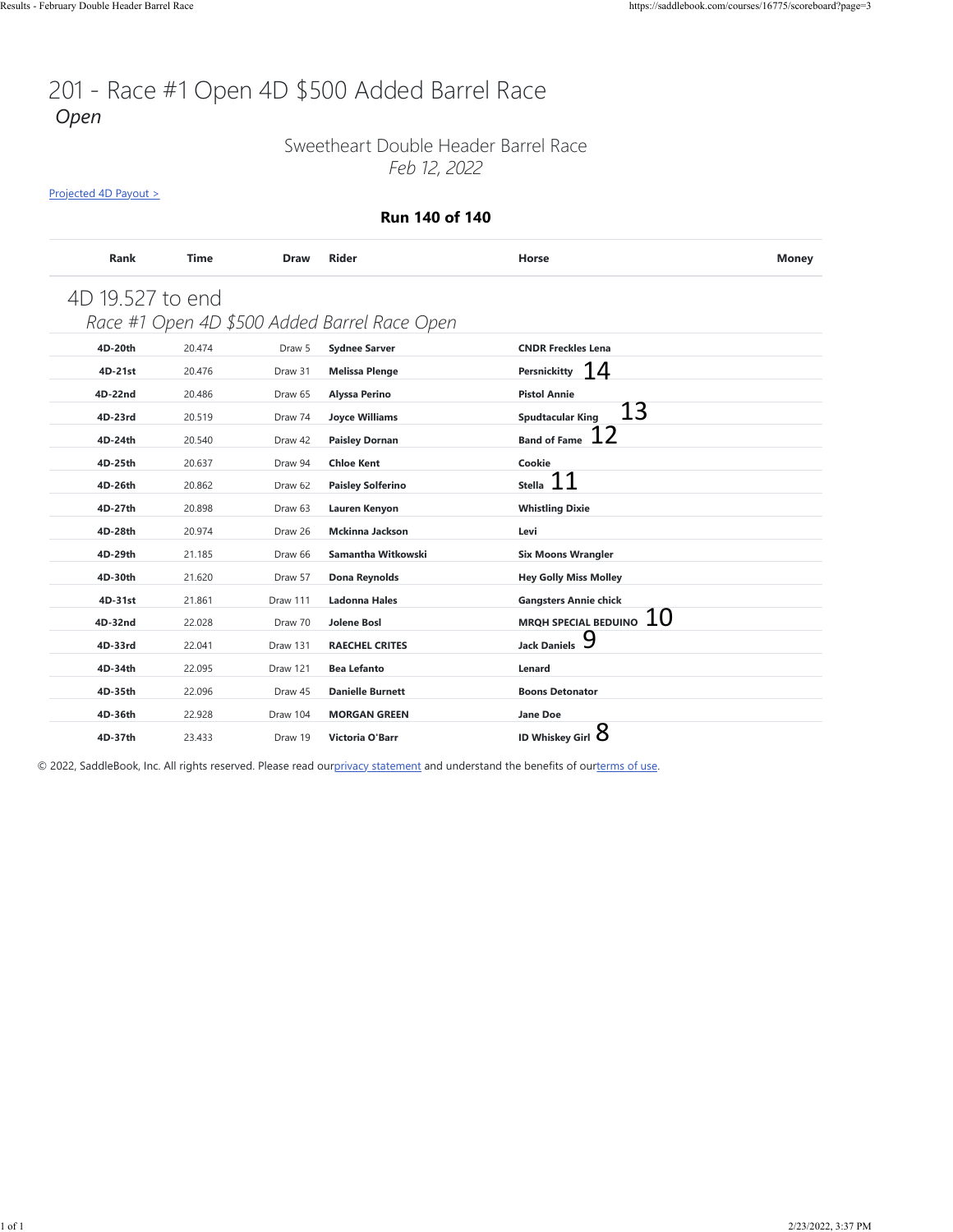# 201 - Race #1 Open 4D \$500 Added Barrel Race *Open*

### Sweetheart Double Header Barrel Race *Feb 12, 2022*

[Projected 4D Payout >](https://saddlebook.com/courses/16775/scoreboard?page=3#payout-projection-16775)

#### **Run 140 of 140**

| Rank             | <b>Time</b> | <b>Draw</b> | <b>Rider</b>                                 | Horse                         | <b>Money</b> |
|------------------|-------------|-------------|----------------------------------------------|-------------------------------|--------------|
| 4D 19.527 to end |             |             |                                              |                               |              |
|                  |             |             | Race #1 Open 4D \$500 Added Barrel Race Open |                               |              |
| 4D-20th          | 20.474      | Draw 5      | <b>Sydnee Sarver</b>                         | <b>CNDR Freckles Lena</b>     |              |
| 4D-21st          | 20.476      | Draw 31     | <b>Melissa Plenge</b>                        | Persnickitty $14$             |              |
| 4D-22nd          | 20.486      | Draw 65     | Alyssa Perino                                | <b>Pistol Annie</b>           |              |
| 4D-23rd          | 20.519      | Draw 74     | <b>Joyce Williams</b>                        | 13<br><b>Spudtacular King</b> |              |
| 4D-24th          | 20.540      | Draw 42     | <b>Paisley Dornan</b>                        | 12<br><b>Band of Fame</b>     |              |
| 4D-25th          | 20.637      | Draw 94     | <b>Chloe Kent</b>                            | Cookie                        |              |
| 4D-26th          | 20.862      | Draw 62     | <b>Paisley Solferino</b>                     | 11<br><b>Stella</b>           |              |
| 4D-27th          | 20.898      | Draw 63     | Lauren Kenyon                                | <b>Whistling Dixie</b>        |              |
| 4D-28th          | 20.974      | Draw 26     | <b>Mckinna Jackson</b>                       | Levi                          |              |
| 4D-29th          | 21.185      | Draw 66     | Samantha Witkowski                           | <b>Six Moons Wrangler</b>     |              |
| 4D-30th          | 21.620      | Draw 57     | <b>Dona Reynolds</b>                         | <b>Hey Golly Miss Molley</b>  |              |
| 4D-31st          | 21.861      | Draw 111    | <b>Ladonna Hales</b>                         | <b>Gangsters Annie chick</b>  |              |
| 4D-32nd          | 22.028      | Draw 70     | <b>Jolene Bosl</b>                           | MRQH SPECIAL BEDUINO $\,10\,$ |              |
| 4D-33rd          | 22.041      | Draw 131    | <b>RAECHEL CRITES</b>                        | <b>Jack Daniels</b>           |              |
| 4D-34th          | 22.095      | Draw 121    | <b>Bea Lefanto</b>                           | Lenard                        |              |
| 4D-35th          | 22.096      | Draw 45     | <b>Danielle Burnett</b>                      | <b>Boons Detonator</b>        |              |
| 4D-36th          | 22.928      | Draw 104    | <b>MORGAN GREEN</b>                          | <b>Jane Doe</b>               |              |
| 4D-37th          | 23.433      | Draw 19     | Victoria O'Barr                              | ID Whiskey Girl $8$           |              |